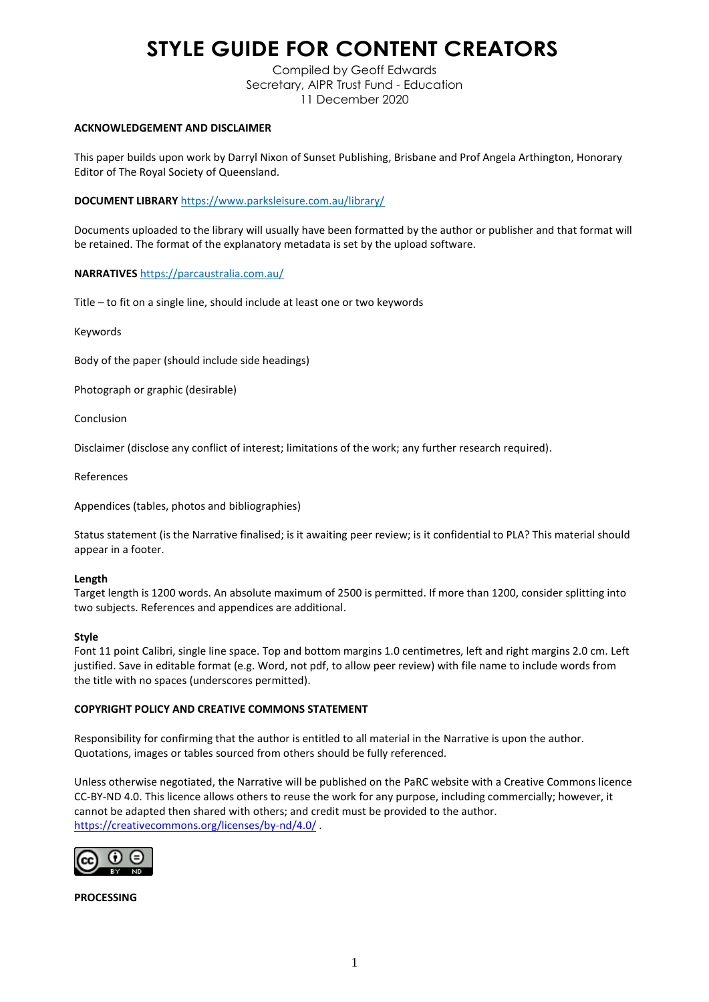# **STYLE GUIDE FOR CONTENT CREATORS**

Compiled by Geoff Edwards Secretary, AIPR Trust Fund - Education 11 December 2020

## **ACKNOWLEDGEMENT AND DISCLAIMER**

This paper builds upon work by Darryl Nixon of Sunset Publishing, Brisbane and Prof Angela Arthington, Honorary Editor of The Royal Society of Queensland.

**DOCUMENT LIBRARY** <https://www.parksleisure.com.au/library/>

Documents uploaded to the library will usually have been formatted by the author or publisher and that format will be retained. The format of the explanatory metadata is set by the upload software.

**NARRATIVES** <https://parcaustralia.com.au/>

Title – to fit on a single line, should include at least one or two keywords

Keywords

Body of the paper (should include side headings)

Photograph or graphic (desirable)

Conclusion

Disclaimer (disclose any conflict of interest; limitations of the work; any further research required).

References

Appendices (tables, photos and bibliographies)

Status statement (is the Narrative finalised; is it awaiting peer review; is it confidential to PLA? This material should appear in a footer.

## **Length**

Target length is 1200 words. An absolute maximum of 2500 is permitted. If more than 1200, consider splitting into two subjects. References and appendices are additional.

## **Style**

Font 11 point Calibri, single line space. Top and bottom margins 1.0 centimetres, left and right margins 2.0 cm. Left justified. Save in editable format (e.g. Word, not pdf, to allow peer review) with file name to include words from the title with no spaces (underscores permitted).

# **COPYRIGHT POLICY AND CREATIVE COMMONS STATEMENT**

Responsibility for confirming that the author is entitled to all material in the Narrative is upon the author. Quotations, images or tables sourced from others should be fully referenced.

Unless otherwise negotiated, the Narrative will be published on the PaRC website with a Creative Commons licence CC-BY-ND 4.0. This licence allows others to reuse the work for any purpose, including commercially; however, it cannot be adapted then shared with others; and credit must be provided to the author. <https://creativecommons.org/licenses/by-nd/4.0/>.



**PROCESSING**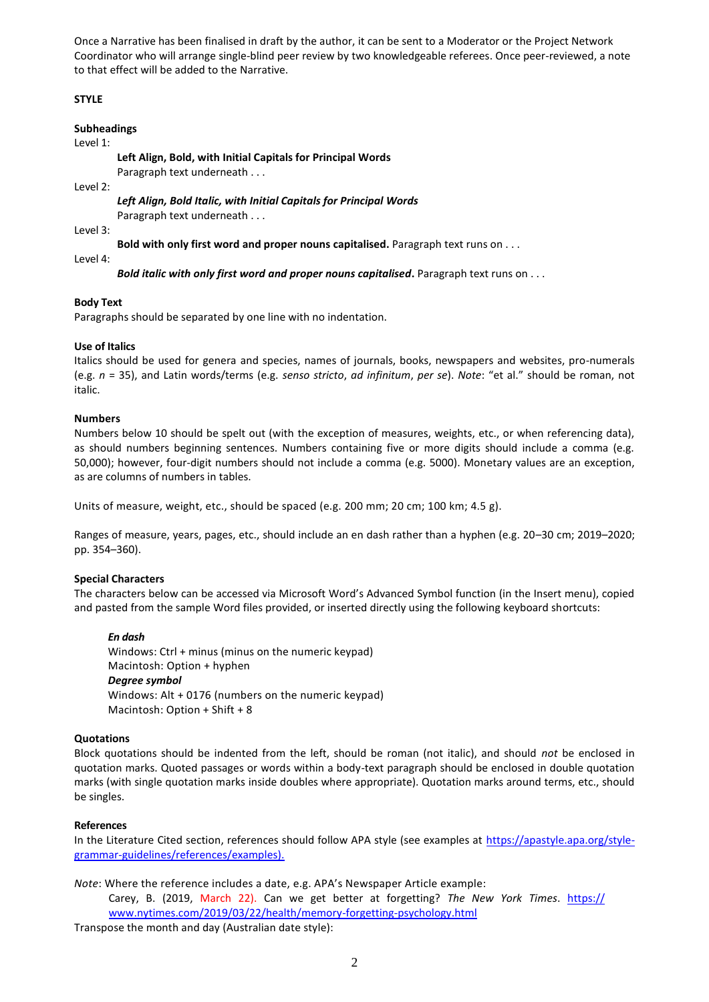Once a Narrative has been finalised in draft by the author, it can be sent to a Moderator or the Project Network Coordinator who will arrange single-blind peer review by two knowledgeable referees. Once peer-reviewed, a note to that effect will be added to the Narrative.

# **STYLE**

## **Subheadings**

## Level 1:

**Left Align, Bold, with Initial Capitals for Principal Words**

Paragraph text underneath . . .

Level 2:

*Left Align, Bold Italic, with Initial Capitals for Principal Words* Paragraph text underneath . . .

Level 3:

**Bold with only first word and proper nouns capitalised.** Paragraph text runs on . . .

Level 4:

*Bold italic with only first word and proper nouns capitalised*. Paragraph text runs on . . .

# **Body Text**

Paragraphs should be separated by one line with no indentation.

# **Use of Italics**

Italics should be used for genera and species, names of journals, books, newspapers and websites, pro-numerals (e.g. *n* = 35), and Latin words/terms (e.g. *senso stricto*, *ad infinitum*, *per se*). *Note*: "et al." should be roman, not italic.

# **Numbers**

Numbers below 10 should be spelt out (with the exception of measures, weights, etc., or when referencing data), as should numbers beginning sentences. Numbers containing five or more digits should include a comma (e.g. 50,000); however, four-digit numbers should not include a comma (e.g. 5000). Monetary values are an exception, as are columns of numbers in tables.

Units of measure, weight, etc., should be spaced (e.g. 200 mm; 20 cm; 100 km; 4.5 g).

Ranges of measure, years, pages, etc., should include an en dash rather than a hyphen (e.g. 20–30 cm; 2019–2020; pp. 354–360).

# **Special Characters**

The characters below can be accessed via Microsoft Word's Advanced Symbol function (in the Insert menu), copied and pasted from the sample Word files provided, or inserted directly using the following keyboard shortcuts:

*En dash* Windows: Ctrl + minus (minus on the numeric keypad) Macintosh: Option + hyphen *Degree symbol* Windows: Alt + 0176 (numbers on the numeric keypad) Macintosh: Option + Shift + 8

# **Quotations**

Block quotations should be indented from the left, should be roman (not italic), and should *not* be enclosed in quotation marks. Quoted passages or words within a body-text paragraph should be enclosed in double quotation marks (with single quotation marks inside doubles where appropriate). Quotation marks around terms, etc., should be singles.

# **References**

In the Literature Cited section, references should follow APA style (see examples at [https://apastyle.apa.org/style](https://apastyle.apa.org/style-grammar-guidelines/references/examples).)[grammar-guidelines/references/examples\).](https://apastyle.apa.org/style-grammar-guidelines/references/examples).)

*Note*: Where the reference includes a date, e.g. APA's Newspaper Article example:

Carey, B. (2019, March 22). Can we get better at forgetting? *The New York Times*. [https://](https://www.nytimes.com/2019/03/22/health/memory-forgetting-psychology.html)  [www.nytimes.com/2019/03/22/health/memory-forgetting-psychology.html](https://www.nytimes.com/2019/03/22/health/memory-forgetting-psychology.html)

Transpose the month and day (Australian date style):